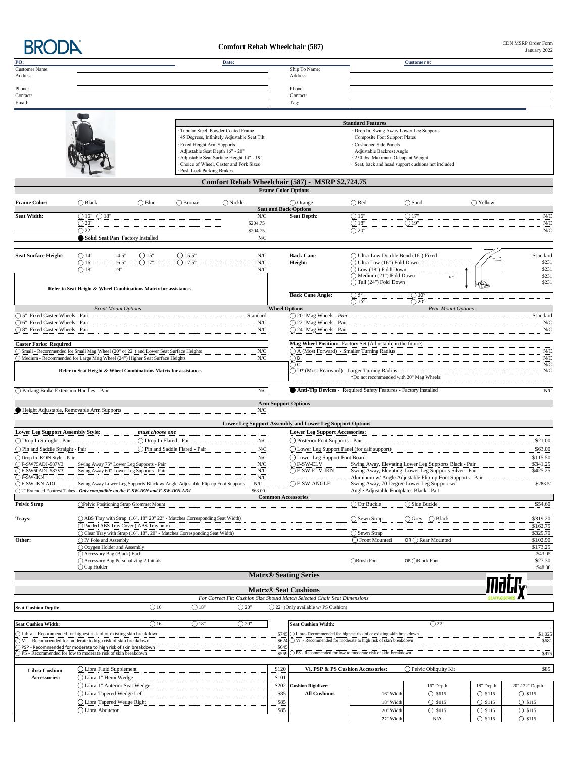**BRODA** 

## **Comfort Rehab Wheelchair (587)**

CDN MSRP Order Form<br>January 2022

| PO:<br><b>Customer Name:</b>                                                                                                       |                                                                                                      |                                                                                      |                                         | Date:                                                                       |                       | Ship To Name:                                                                                                                                                                                                                                                                              |                                                                                                                                  | Customer#:                                            |                   |                            |  |  |
|------------------------------------------------------------------------------------------------------------------------------------|------------------------------------------------------------------------------------------------------|--------------------------------------------------------------------------------------|-----------------------------------------|-----------------------------------------------------------------------------|-----------------------|--------------------------------------------------------------------------------------------------------------------------------------------------------------------------------------------------------------------------------------------------------------------------------------------|----------------------------------------------------------------------------------------------------------------------------------|-------------------------------------------------------|-------------------|----------------------------|--|--|
| Address:                                                                                                                           |                                                                                                      |                                                                                      |                                         |                                                                             |                       | Address:                                                                                                                                                                                                                                                                                   |                                                                                                                                  |                                                       |                   |                            |  |  |
| Phone:                                                                                                                             |                                                                                                      |                                                                                      |                                         |                                                                             |                       | Phone:                                                                                                                                                                                                                                                                                     |                                                                                                                                  |                                                       |                   |                            |  |  |
| Contact:                                                                                                                           |                                                                                                      |                                                                                      |                                         |                                                                             |                       | Contact:                                                                                                                                                                                                                                                                                   |                                                                                                                                  |                                                       |                   |                            |  |  |
| Email:                                                                                                                             |                                                                                                      |                                                                                      |                                         |                                                                             |                       | Tag:                                                                                                                                                                                                                                                                                       |                                                                                                                                  |                                                       |                   |                            |  |  |
|                                                                                                                                    |                                                                                                      |                                                                                      |                                         |                                                                             |                       |                                                                                                                                                                                                                                                                                            |                                                                                                                                  |                                                       |                   |                            |  |  |
|                                                                                                                                    |                                                                                                      |                                                                                      |                                         | Tubular Steel, Powder Coated Frame                                          |                       |                                                                                                                                                                                                                                                                                            | <b>Standard Features</b>                                                                                                         |                                                       |                   |                            |  |  |
|                                                                                                                                    |                                                                                                      |                                                                                      |                                         | 45 Degrees, Infinitely Adjustable Seat Tilt                                 |                       |                                                                                                                                                                                                                                                                                            | Drop In, Swing Away Lower Leg Supports<br>Composite Foot Support Plates                                                          |                                                       |                   |                            |  |  |
|                                                                                                                                    | Fixed Height Arm Supports                                                                            |                                                                                      |                                         |                                                                             |                       |                                                                                                                                                                                                                                                                                            | Cushioned Side Panels                                                                                                            |                                                       |                   |                            |  |  |
|                                                                                                                                    |                                                                                                      |                                                                                      |                                         | Adjustable Seat Depth 16" - 20"<br>Adjustable Seat Surface Height 14" - 19" |                       |                                                                                                                                                                                                                                                                                            | · Adjustable Backrest Angle<br>· 250 lbs. Maximum Occupant Weight                                                                |                                                       |                   |                            |  |  |
|                                                                                                                                    |                                                                                                      |                                                                                      |                                         | Choice of Wheel, Caster and Fork Sizes                                      |                       |                                                                                                                                                                                                                                                                                            | · Seat, back and head support cushions not included                                                                              |                                                       |                   |                            |  |  |
|                                                                                                                                    |                                                                                                      |                                                                                      | <b>Push Lock Parking Brakes</b>         |                                                                             |                       |                                                                                                                                                                                                                                                                                            |                                                                                                                                  |                                                       |                   |                            |  |  |
|                                                                                                                                    |                                                                                                      |                                                                                      |                                         |                                                                             |                       | Comfort Rehab Wheelchair (587) - MSRP \$2,724.75<br><b>Frame Color Options</b>                                                                                                                                                                                                             |                                                                                                                                  |                                                       |                   |                            |  |  |
|                                                                                                                                    | $\bigcap$ Black                                                                                      |                                                                                      | $\bigcap$ Bronze                        |                                                                             |                       |                                                                                                                                                                                                                                                                                            |                                                                                                                                  | $\bigcap$ Sand                                        |                   |                            |  |  |
| <b>Frame Color:</b>                                                                                                                |                                                                                                      | $\bigcirc$ Blue                                                                      |                                         | $\bigcirc$ Nickle                                                           |                       | $\bigcirc$ Orange<br><b>Seat and Back Options</b>                                                                                                                                                                                                                                          | $\bigcirc$ Red                                                                                                                   |                                                       | $\bigcirc$ Yellow |                            |  |  |
| <b>Seat Width:</b>                                                                                                                 | $\bigcirc$ 16" $\bigcirc$ 18"                                                                        |                                                                                      |                                         | N/C                                                                         |                       | <b>Seat Depth:</b>                                                                                                                                                                                                                                                                         | O16"                                                                                                                             | $\bigcap$ 17"                                         |                   | ${\rm N/C}$                |  |  |
|                                                                                                                                    | $\bigcirc$ 20"<br>$\bigcap$ 22"                                                                      |                                                                                      |                                         | \$204.75<br>\$204.75                                                        |                       |                                                                                                                                                                                                                                                                                            | O18"<br>$\bigcirc$ 20"                                                                                                           | $\bigcirc$ 19"                                        |                   | N/C<br>N/C                 |  |  |
|                                                                                                                                    |                                                                                                      | Solid Seat Pan Factory Installed                                                     |                                         | ${\rm N/C}$                                                                 |                       |                                                                                                                                                                                                                                                                                            |                                                                                                                                  |                                                       |                   |                            |  |  |
|                                                                                                                                    |                                                                                                      |                                                                                      |                                         |                                                                             |                       |                                                                                                                                                                                                                                                                                            |                                                                                                                                  |                                                       |                   |                            |  |  |
| <b>Seat Surface Height:</b>                                                                                                        | O <sub>14</sub>                                                                                      | 14.5"<br>O15"                                                                        | $O$ 15.5"                               | N/C                                                                         |                       | <b>Back Cane</b>                                                                                                                                                                                                                                                                           | ◯ Ultra-Low Double Bend (16") Fixed                                                                                              |                                                       |                   | Standard                   |  |  |
|                                                                                                                                    | $\bigcirc$ 16"                                                                                       | 16.5"<br>O17"                                                                        | O17.5"                                  | ${\rm N/C}$                                                                 |                       | Height:                                                                                                                                                                                                                                                                                    | ◯ Ultra Low (16") Fold Down                                                                                                      |                                                       |                   | \$231<br>\$231             |  |  |
|                                                                                                                                    | $\bigcirc$ 18"                                                                                       | 19"                                                                                  | N/C                                     |                                                                             |                       | Q Low (18") Fold Down<br>Medium (21") Fold Down                                                                                                                                                                                                                                            | 16"                                                                                                                              |                                                       | \$231             |                            |  |  |
|                                                                                                                                    |                                                                                                      |                                                                                      |                                         |                                                                             |                       |                                                                                                                                                                                                                                                                                            | Tall (24") Fold Down                                                                                                             |                                                       |                   | \$231                      |  |  |
|                                                                                                                                    |                                                                                                      | Refer to Seat Height & Wheel Combinations Matrix for assistance.                     |                                         |                                                                             |                       | <b>Back Cane Angle:</b>                                                                                                                                                                                                                                                                    | $O_{5^{\circ}}$                                                                                                                  | $\overline{()10^{\circ}}$                             |                   |                            |  |  |
|                                                                                                                                    |                                                                                                      |                                                                                      |                                         |                                                                             |                       |                                                                                                                                                                                                                                                                                            | $\bigcap$ 15°                                                                                                                    | $\bigcirc$ 20°                                        |                   |                            |  |  |
| ○ 5" Fixed Caster Wheels - Pair                                                                                                    |                                                                                                      | <b>Front Mount Options</b>                                                           |                                         | Standard                                                                    | <b>Wheel Options</b>  | $\bigcirc$ 20" Mag Wheels - Pair                                                                                                                                                                                                                                                           |                                                                                                                                  | Rear Mount Options                                    |                   | Standard                   |  |  |
| ○ 6" Fixed Caster Wheels - Pair                                                                                                    |                                                                                                      |                                                                                      |                                         | N/C                                                                         |                       | ○ 22" Mag Wheels - Pair                                                                                                                                                                                                                                                                    |                                                                                                                                  |                                                       |                   | N/C                        |  |  |
| ○ 8" Fixed Caster Wheels - Pair                                                                                                    |                                                                                                      |                                                                                      |                                         | N/C                                                                         |                       | $\bigcirc$ 24" Mag Wheels - Pair                                                                                                                                                                                                                                                           |                                                                                                                                  |                                                       |                   | N/C                        |  |  |
| <b>Caster Forks: Required</b>                                                                                                      |                                                                                                      |                                                                                      |                                         |                                                                             |                       |                                                                                                                                                                                                                                                                                            |                                                                                                                                  |                                                       |                   |                            |  |  |
| ○ Small - Recommended for Small Mag Wheel (20" or 22") and Lower Seat Surface Heights                                              |                                                                                                      |                                                                                      |                                         | N/C                                                                         |                       | Mag Wheel Position: Factory Set (Adjustable in the future)<br>1990 - Ann American International Property Set (Adjustable in the future)<br>1991 - Ann American International Property Set (Adjustable in the future)<br>1991 - Ann A<br>○ A (Most Forward) - Smaller Turning Radius<br>N/C |                                                                                                                                  |                                                       |                   |                            |  |  |
| Medium - Recommended for Large Mag Wheel (24") Higher Seat Surface Heights                                                         |                                                                                                      |                                                                                      |                                         | ${\rm N/C}$                                                                 |                       | $\rm N/C$<br>OВ                                                                                                                                                                                                                                                                            |                                                                                                                                  |                                                       |                   |                            |  |  |
|                                                                                                                                    |                                                                                                      | Refer to Seat Height & Wheel Combinations Matrix for assistance.                     |                                         |                                                                             |                       | ОC<br>D* (Most Rearward) - Larger Turning Radius                                                                                                                                                                                                                                           |                                                                                                                                  |                                                       |                   | ${\rm N/C}$<br>${\rm N/C}$ |  |  |
|                                                                                                                                    |                                                                                                      |                                                                                      |                                         |                                                                             |                       |                                                                                                                                                                                                                                                                                            | *Do not recommended with 20" Mag Wheels                                                                                          |                                                       |                   |                            |  |  |
| Parking Brake Extension Handles - Pair                                                                                             |                                                                                                      |                                                                                      |                                         | ${\rm N/C}$                                                                 |                       |                                                                                                                                                                                                                                                                                            | Anti-Tip Devices - Required Safety Features - Factory Installed                                                                  |                                                       |                   | ${\rm N/C}$                |  |  |
|                                                                                                                                    |                                                                                                      |                                                                                      |                                         |                                                                             |                       |                                                                                                                                                                                                                                                                                            |                                                                                                                                  |                                                       |                   |                            |  |  |
| Height Adjustable, Removable Arm Supports                                                                                          |                                                                                                      |                                                                                      |                                         | N/C                                                                         |                       | <b>Arm Support Options</b>                                                                                                                                                                                                                                                                 |                                                                                                                                  |                                                       |                   |                            |  |  |
|                                                                                                                                    |                                                                                                      |                                                                                      |                                         |                                                                             |                       |                                                                                                                                                                                                                                                                                            |                                                                                                                                  |                                                       |                   |                            |  |  |
|                                                                                                                                    |                                                                                                      |                                                                                      |                                         |                                                                             |                       | Lower Leg Support Assembly and Lower Leg Support Options                                                                                                                                                                                                                                   |                                                                                                                                  |                                                       |                   |                            |  |  |
| <b>Lower Leg Support Assembly Style:</b><br>◯ Drop In Straight - Pair                                                              |                                                                                                      | must choose one<br>◯ Drop In Flared - Pair                                           |                                         | N/C                                                                         |                       | <b>Lower Leg Support Accessories:</b><br>◯ Posterior Foot Supports - Pair                                                                                                                                                                                                                  |                                                                                                                                  |                                                       |                   | \$21.00                    |  |  |
| ◯ Pin and Saddle Straight - Pair                                                                                                   |                                                                                                      |                                                                                      | $\bigcirc$ Pin and Saddle Flared - Pair | ${\rm N/C}$                                                                 |                       | ◯ Lower Leg Support Panel (for calf support)                                                                                                                                                                                                                                               |                                                                                                                                  |                                                       |                   | \$63.00                    |  |  |
| ◯ Drop In IKON Style - Pair                                                                                                        |                                                                                                      |                                                                                      |                                         | ${\rm N/C}$                                                                 |                       | ◯ Lower Leg Support Foot Board                                                                                                                                                                                                                                                             |                                                                                                                                  |                                                       |                   | \$115.50                   |  |  |
| E-SW75ADJ-587V3                                                                                                                    |                                                                                                      | Swing Away 75° Lower Leg Supports - Pair                                             |                                         | N/C                                                                         |                       | $OF-SW-ELV$                                                                                                                                                                                                                                                                                |                                                                                                                                  | Swing Away, Elevating Lower Leg Supports Black - Pair |                   | \$341.25<br>\$425.25       |  |  |
| ◯ F-SW60ADJ-587V3<br>$\bigcirc$ F-SW-IKN                                                                                           |                                                                                                      | Swing Away 60° Lower Leg Supports - Pair                                             |                                         | N/C<br>N/C                                                                  |                       | $\bigcap$ F-SW-ELV-IKN                                                                                                                                                                                                                                                                     | Swing Away, Elevating Lower Leg Supports Silver - Pair<br>Aluminum w/ Angle Adjustable Flip-up Foot Supports - Pair              |                                                       |                   |                            |  |  |
| OF-SW-IKN-ADJ<br>Swing Away Lower Leg Supports Black w/ Angle Adjustable Flip-up Foot Supports<br>N/C                              |                                                                                                      |                                                                                      |                                         |                                                                             | $\bigcirc$ F-SW-ANGLE |                                                                                                                                                                                                                                                                                            | Swing Away, 70 Degree Lower Leg Support w/<br>\$283.51                                                                           |                                                       |                   |                            |  |  |
| ○ 2" Extended Footrest Tubes - Only compatible on the F-SW-IKN and F-SW-IKN-ADJ                                                    |                                                                                                      |                                                                                      |                                         | \$63.00                                                                     |                       | <b>Common Accessories</b>                                                                                                                                                                                                                                                                  | Angle Adjustable Footplates Black - Pait                                                                                         |                                                       |                   |                            |  |  |
| <b>Pelvic Strap</b>                                                                                                                |                                                                                                      | ◯Pelvic Positioning Strap Grommet Mount                                              |                                         |                                                                             |                       |                                                                                                                                                                                                                                                                                            | ◯ Ctr Buckle                                                                                                                     | ◯ Side Buckle                                         |                   | \$54.60                    |  |  |
| Trays:                                                                                                                             |                                                                                                      | $\bigcirc$ ABS Tray with Strap (16", 18" 20" 22" - Matches Corresponding Seat Width) |                                         |                                                                             |                       |                                                                                                                                                                                                                                                                                            | $\bigcirc$ Sewn Strap                                                                                                            | ◯ Black<br>◯ Grey                                     |                   | \$319.20                   |  |  |
|                                                                                                                                    |                                                                                                      | ◯ Padded ABS Tray Cover (ABS Tray only)                                              |                                         |                                                                             |                       |                                                                                                                                                                                                                                                                                            |                                                                                                                                  |                                                       |                   | \$162.75                   |  |  |
| Other:                                                                                                                             | ○ Clear Tray with Strap (16", 18", 20" - Matches Corresponding Seat Width)<br>◯ IV Pole and Assembly |                                                                                      |                                         |                                                                             |                       |                                                                                                                                                                                                                                                                                            | ◯ Sewn Strap<br>◯ Front Mounted                                                                                                  | OR ( ) Rear Mounted                                   |                   | \$329.70<br>\$102.90       |  |  |
|                                                                                                                                    | ○ Oxygen Holder and Assembly                                                                         |                                                                                      |                                         |                                                                             |                       |                                                                                                                                                                                                                                                                                            |                                                                                                                                  |                                                       |                   | \$173.25                   |  |  |
|                                                                                                                                    | ◯ Accessory Bag (Black) Each                                                                         |                                                                                      |                                         |                                                                             |                       |                                                                                                                                                                                                                                                                                            |                                                                                                                                  |                                                       |                   | \$43.05                    |  |  |
|                                                                                                                                    | $\bigcirc$ Cup Holder                                                                                | ◯ Accessory Bag Personalizing 2 Initials                                             |                                         |                                                                             |                       |                                                                                                                                                                                                                                                                                            | $OBrush$ Font                                                                                                                    | OR ◯Block Font                                        |                   | \$27.30<br>\$48.30         |  |  |
|                                                                                                                                    |                                                                                                      |                                                                                      |                                         |                                                                             |                       | <b>Matrx® Seating Series</b>                                                                                                                                                                                                                                                               |                                                                                                                                  |                                                       |                   |                            |  |  |
|                                                                                                                                    |                                                                                                      |                                                                                      |                                         |                                                                             |                       |                                                                                                                                                                                                                                                                                            |                                                                                                                                  |                                                       |                   |                            |  |  |
|                                                                                                                                    |                                                                                                      |                                                                                      |                                         |                                                                             |                       | <b>Matrx® Seat Cushions</b><br>For Correct Fit: Cushion Size Should Match Selected Chair Seat Dimensions                                                                                                                                                                                   |                                                                                                                                  |                                                       |                   |                            |  |  |
| <b>Seat Cushion Depth:</b>                                                                                                         |                                                                                                      | $\bigcirc$ 16"                                                                       | $\bigcirc$ 18"                          | $\bigcirc$ 20"                                                              |                       | ○ 22" (Only available w/ PS Cushion)                                                                                                                                                                                                                                                       |                                                                                                                                  |                                                       |                   |                            |  |  |
|                                                                                                                                    |                                                                                                      |                                                                                      |                                         |                                                                             |                       |                                                                                                                                                                                                                                                                                            |                                                                                                                                  |                                                       |                   |                            |  |  |
| <b>Seat Cushion Width:</b>                                                                                                         |                                                                                                      | $\bigcirc$ 16"                                                                       | $\bigcirc$ 18"                          | $\bigcirc$ 20"                                                              |                       | <b>Seat Cushion Width:</b>                                                                                                                                                                                                                                                                 |                                                                                                                                  | $\bigcirc$ 22"                                        |                   |                            |  |  |
| Libra - Recommended for highest risk of or existing skin breakdown<br>Vi - Recommended for moderate to high risk of skin breakdown |                                                                                                      |                                                                                      |                                         |                                                                             | \$745<br>\$62         |                                                                                                                                                                                                                                                                                            | Libra-Recommended for highest risk of or existing skin breakdown<br>Vi - Recommended for moderate to high risk of skin breakdown |                                                       |                   | \$1,025<br>\$681           |  |  |
| PSP - Recommended for moderate to high risk of skin breakdown                                                                      |                                                                                                      |                                                                                      |                                         |                                                                             | \$645                 |                                                                                                                                                                                                                                                                                            |                                                                                                                                  |                                                       |                   |                            |  |  |
| ) PS - Recommended for low to moderate risk of skin breakdown                                                                      |                                                                                                      |                                                                                      |                                         |                                                                             | \$569                 |                                                                                                                                                                                                                                                                                            | () PS - Recommended for low to moderate risk of skin breakdown                                                                   |                                                       |                   | \$975                      |  |  |
| <b>Libra Cushion</b>                                                                                                               | ◯ Libra Fluid Supplement                                                                             |                                                                                      |                                         |                                                                             | \$120                 |                                                                                                                                                                                                                                                                                            | Vi, PSP & PS Cushion Accessories:                                                                                                | ◯ Pelvic Obliquity Kit                                |                   | \$85                       |  |  |
| Accessories:                                                                                                                       | ◯ Libra 1" Hemi Wedge                                                                                |                                                                                      |                                         |                                                                             | \$101                 |                                                                                                                                                                                                                                                                                            |                                                                                                                                  |                                                       |                   |                            |  |  |
|                                                                                                                                    | ◯ Libra 1" Anterior Seat Wedge                                                                       |                                                                                      |                                         |                                                                             | \$202                 | <b>Cushion Rigidizer:</b>                                                                                                                                                                                                                                                                  |                                                                                                                                  | 16" Depth                                             | 18" Depth         | 20" / 22" Depth            |  |  |
|                                                                                                                                    | O Libra Tapered Wedge Left                                                                           |                                                                                      |                                         |                                                                             | \$85                  | <b>All Cushions</b>                                                                                                                                                                                                                                                                        | 16" Width                                                                                                                        | $O$ \$115                                             | $O$ \$115         | $O$ \$115                  |  |  |
|                                                                                                                                    | ◯ Libra Tapered Wedge Right                                                                          |                                                                                      |                                         |                                                                             | \$85                  |                                                                                                                                                                                                                                                                                            | 18" Width                                                                                                                        | $O$ \$115                                             | $O$ \$115         | $O$ \$115                  |  |  |
|                                                                                                                                    | ◯ Libra Abductor                                                                                     |                                                                                      |                                         |                                                                             | \$85                  |                                                                                                                                                                                                                                                                                            | 20" Width                                                                                                                        | $O$ \$115                                             | $O$ \$115         | $O$ \$115                  |  |  |
|                                                                                                                                    |                                                                                                      |                                                                                      |                                         |                                                                             |                       |                                                                                                                                                                                                                                                                                            | 22" Width                                                                                                                        | $\rm N/A$                                             | $O$ \$115         | $O$ \$115                  |  |  |